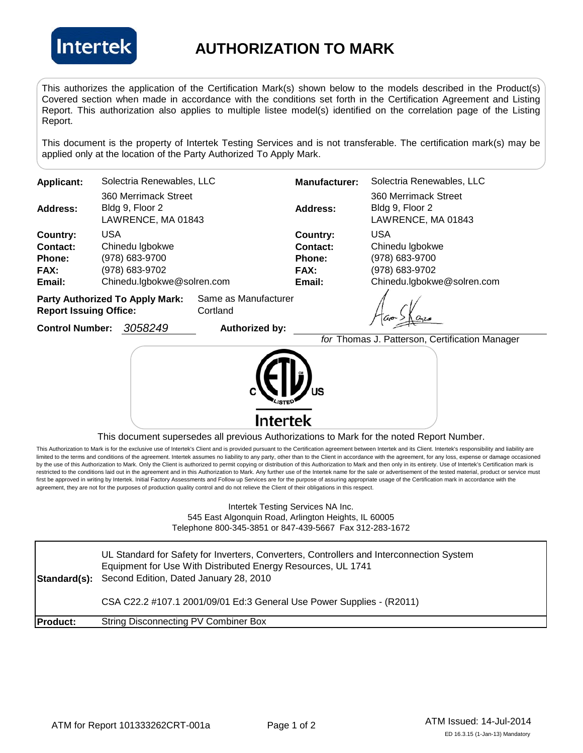

## **AUTHORIZATION TO MARK**

This authorizes the application of the Certification Mark(s) shown below to the models described in the Product(s) Covered section when made in accordance with the conditions set forth in the Certification Agreement and Listing Report. This authorization also applies to multiple listee model(s) identified on the correlation page of the Listing Report.

This document is the property of Intertek Testing Services and is not transferable. The certification mark(s) may be applied only at the location of the Party Authorized To Apply Mark.

| <b>Applicant:</b>                                              | Solectria Renewables, LLC                                     | <b>Manufacturer:</b> | Solectria Renewables, LLC                                     |  |
|----------------------------------------------------------------|---------------------------------------------------------------|----------------------|---------------------------------------------------------------|--|
| Address:                                                       | 360 Merrimack Street<br>Bldg 9, Floor 2<br>LAWRENCE, MA 01843 | Address:             | 360 Merrimack Street<br>Bldg 9, Floor 2<br>LAWRENCE, MA 01843 |  |
| Country:                                                       | USA                                                           | Country:             | <b>USA</b>                                                    |  |
| Contact:                                                       | Chinedu Igbokwe                                               | Contact:             | Chinedu Igbokwe                                               |  |
| <b>Phone:</b>                                                  | (978) 683-9700                                                | <b>Phone:</b>        | (978) 683-9700                                                |  |
| <b>FAX:</b>                                                    | (978) 683-9702                                                | <b>FAX:</b>          | (978) 683-9702                                                |  |
| Email:                                                         | Chinedu.lgbokwe@solren.com                                    | Email:               | Chinedu.lgbokwe@solren.com                                    |  |
| Same as Manufacturer<br><b>Party Authorized To Apply Mark:</b> |                                                               |                      |                                                               |  |

**Report Issuing Office:** Cortland

**Control Number:**

*3058249* **Authorized by:** 

 $\sum \alpha_{22}$ 

*for* Thomas J. Patterson, Certification Manager Intertek

This document supersedes all previous Authorizations to Mark for the noted Report Number.

This Authorization to Mark is for the exclusive use of Intertek's Client and is provided pursuant to the Certification agreement between Intertek and its Client. Intertek's responsibility and liability are limited to the terms and conditions of the agreement. Intertek assumes no liability to any party, other than to the Client in accordance with the agreement, for any loss, expense or damage occasioned by the use of this Authorization to Mark. Only the Client is authorized to permit copying or distribution of this Authorization to Mark and then only in its entirety. Use of Intertek's Certification mark is restricted to the conditions laid out in the agreement and in this Authorization to Mark. Any further use of the Intertek name for the sale or advertisement of the tested material, product or service must first be approved in writing by Intertek. Initial Factory Assessments and Follow up Services are for the purpose of assuring appropriate usage of the Certification mark in accordance with the agreement, they are not for the purposes of production quality control and do not relieve the Client of their obligations in this respect.

## Intertek Testing Services NA Inc. 545 East Algonquin Road, Arlington Heights, IL 60005 Telephone 800-345-3851 or 847-439-5667 Fax 312-283-1672

**Standard(s):** Second Edition, Dated January 28, 2010 **Product:** String Disconnecting PV Combiner Box UL Standard for Safety for Inverters, Converters, Controllers and Interconnection System Equipment for Use With Distributed Energy Resources, UL 1741 CSA C22.2 #107.1 2001/09/01 Ed:3 General Use Power Supplies - (R2011)